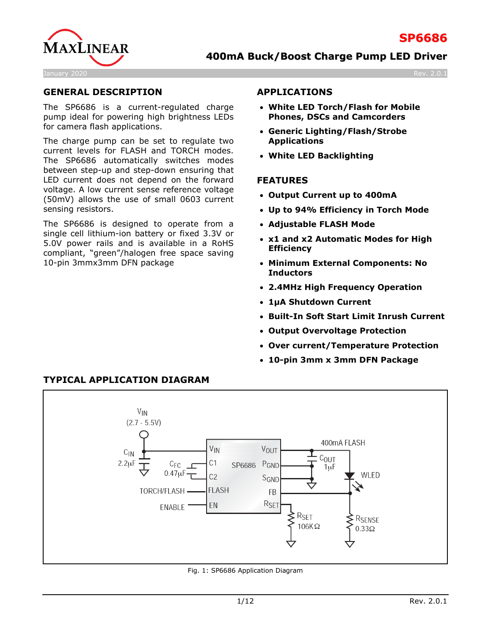

### **GENERAL DESCRIPTION**

The SP6686 is a current-regulated charge pump ideal for powering high brightness LEDs for camera flash applications.

The charge pump can be set to regulate two current levels for FLASH and TORCH modes. The SP6686 automatically switches modes between step-up and step-down ensuring that LED current does not depend on the forward voltage. A low current sense reference voltage (50mV) allows the use of small 0603 current sensing resistors.

The SP6686 is designed to operate from a single cell lithium-ion battery or fixed 3.3V or 5.0V power rails and is available in a RoHS compliant, "green"/halogen free space saving 10-pin 3mmx3mm DFN package

### **APPLICATIONS**

- **White LED Torch/Flash for Mobile Phones, DSCs and Camcorders**
- **Generic Lighting/Flash/Strobe Applications**
- **White LED Backlighting**

### **FEATURES**

- **Output Current up to 400mA**
- **Up to 94% Efficiency in Torch Mode**
- **Adjustable FLASH Mode**
- **x1 and x2 Automatic Modes for High Efficiency**
- **Minimum External Components: No Inductors**
- **2.4MHz High Frequency Operation**
- **1μA Shutdown Current**
- **Built-In Soft Start Limit Inrush Current**
- **Output Overvoltage Protection**
- **Over current/Temperature Protection**
- **10-pin 3mm x 3mm DFN Package**



Fig. 1: SP6686 Application Diagram

# **TYPICAL APPLICATION DIAGRAM**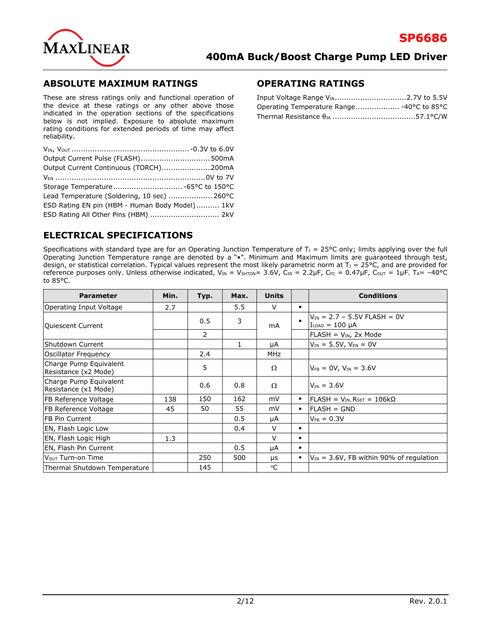

### **ABSOLUTE MAXIMUM RATINGS**

These are stress ratings only and functional operation of the device at these ratings or any other above those indicated in the operation sections of the specifications below is not implied. Exposure to absolute maximum rating conditions for extended periods of time may affect reliability.

| Output Current Pulse (FLASH) 500mA             |  |
|------------------------------------------------|--|
| Output Current Continuous (TORCH) 200mA        |  |
|                                                |  |
|                                                |  |
| Lead Temperature (Soldering, 10 sec)  260°C    |  |
| ESD Rating EN pin (HBM - Human Body Model) 1kV |  |
| ESD Rating All Other Pins (HBM)  2kV           |  |

### **OPERATING RATINGS**

| Operating Temperature Range -40°C to 85°C |  |
|-------------------------------------------|--|
|                                           |  |

## **ELECTRICAL SPECIFICATIONS**

Specifications with standard type are for an Operating Junction Temperature of  $T_1 = 25^{\circ}C$  only; limits applying over the full Operating Junction Temperature range are denoted by a "•". Minimum and Maximum limits are guaranteed through test, design, or statistical correlation. Typical values represent the most likely parametric norm at  $T_1 = 25^{\circ}$ C, and are provided for reference purposes only. Unless otherwise indicated,  $V_{IN} = V_{SHTDN} = 3.6V$ ,  $C_{IN} = 2.2 \mu F$ ,  $C_{FC} = 0.47 \mu F$ ,  $C_{OUT} = 1 \mu F$ . T<sub>A</sub>= -40°C to 85°C.

| <b>Parameter</b>                               | Min. | Typ.           | Max. | <b>Units</b> |           | <b>Conditions</b>                                          |
|------------------------------------------------|------|----------------|------|--------------|-----------|------------------------------------------------------------|
| Operating Input Voltage                        | 2.7  |                | 5.5  | $\vee$       | $\bullet$ |                                                            |
| Quiescent Current                              |      | 0.5            | 3    | mA           | $\bullet$ | $V_{IN}$ = 2.7 - 5.5V FLASH = 0V<br>$I_{LOAD} = 100 \mu A$ |
|                                                |      | $\overline{2}$ |      |              |           | $FLASH = V_{IN}$ , 2x Mode                                 |
| lShutdown Current                              |      |                | 1    | μA           |           | $V_{IN} = 5.5V$ , $V_{EN} = 0V$                            |
| Oscillator Frequency                           |      | 2.4            |      | <b>MHz</b>   |           |                                                            |
| Charge Pump Equivalent<br>Resistance (x2 Mode) |      | 5              |      | Ω            |           | $V_{FB} = 0V$ , $V_{IN} = 3.6V$                            |
| Charge Pump Equivalent<br>Resistance (x1 Mode) |      | 0.6            | 0.8  | $\Omega$     |           | $V_{IN} = 3.6V$                                            |
| <b>FB Reference Voltage</b>                    | 138  | 150            | 162  | mV           | $\bullet$ | $FLASH = V_{IN} R_{SET} = 106 k\Omega$                     |
| FB Reference Voltage                           | 45   | 50             | 55   | mV           | $\bullet$ | $FLASH = GND$                                              |
| IFB Pin Current                                |      |                | 0.5  | μA           |           | $V_{FB} = 0.3V$                                            |
| EN, Flash Logic Low                            |      |                | 0.4  | $\vee$       | $\bullet$ |                                                            |
| EN, Flash Logic High                           | 1.3  |                |      | $\vee$       | $\bullet$ |                                                            |
| EN, Flash Pin Current                          |      |                | 0.5  | μA           | $\bullet$ |                                                            |
| Vour Turn-on Time                              |      | 250            | 500  | μs           | $\bullet$ | $V_{IN}$ = 3.6V, FB within 90% of regulation               |
| Thermal Shutdown Temperature                   |      | 145            |      | °C           |           |                                                            |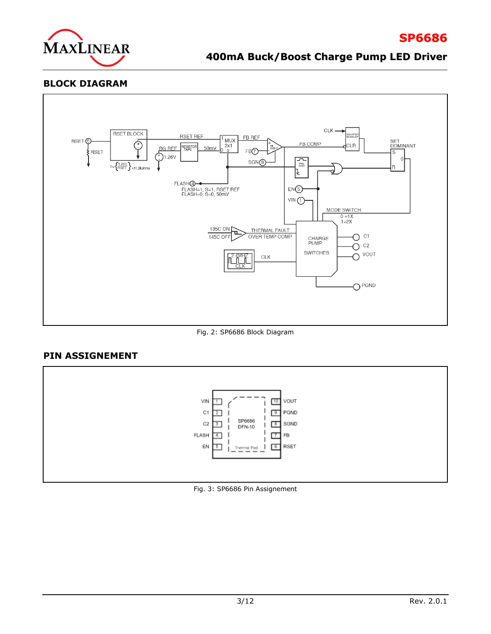

# **400mA Buck/Boost Charge Pump LED Driver**

### **BLOCK DIAGRAM**



Fig. 2: SP6686 Block Diagram

### **PIN ASSIGNEMENT**



Fig. 3: SP6686 Pin Assignement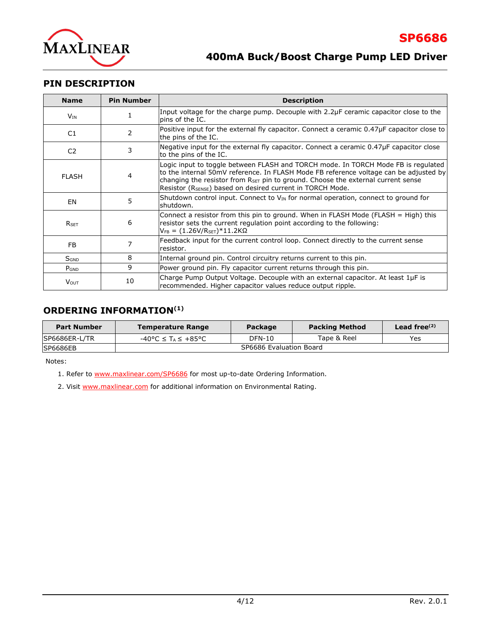

### **PIN DESCRIPTION**

| <b>Name</b>      | <b>Pin Number</b> | <b>Description</b>                                                                                                                                                                                                                                                                                                                                   |  |  |
|------------------|-------------------|------------------------------------------------------------------------------------------------------------------------------------------------------------------------------------------------------------------------------------------------------------------------------------------------------------------------------------------------------|--|--|
| $V_{IN}$         |                   | Input voltage for the charge pump. Decouple with 2.2µF ceramic capacitor close to the<br>pins of the IC.                                                                                                                                                                                                                                             |  |  |
| C1               | 2                 | Positive input for the external fly capacitor. Connect a ceramic $0.47\mu$ F capacitor close to<br>the pins of the IC.                                                                                                                                                                                                                               |  |  |
| C <sub>2</sub>   | 3                 | Negative input for the external fly capacitor. Connect a ceramic $0.47\mu$ F capacitor close<br>to the pins of the IC.                                                                                                                                                                                                                               |  |  |
| <b>FLASH</b>     | 4                 | Logic input to toggle between FLASH and TORCH mode. In TORCH Mode FB is regulated<br>to the internal 50mV reference. In FLASH Mode FB reference voltage can be adjusted by<br>changing the resistor from $R_{\text{SET}}$ pin to ground. Choose the external current sense<br>Resistor (R <sub>SENSE</sub> ) based on desired current in TORCH Mode. |  |  |
| EN               | 5                 | Shutdown control input. Connect to $V_{IN}$ for normal operation, connect to ground for<br>shutdown.                                                                                                                                                                                                                                                 |  |  |
| <b>RSFT</b>      | 6                 | Connect a resistor from this pin to ground. When in FLASH Mode (FLASH = High) this<br>resistor sets the current regulation point according to the following:<br>$V_{FB} = (1.26V/R_{SET})*11.2K\Omega$                                                                                                                                               |  |  |
| FB               |                   | Feedback input for the current control loop. Connect directly to the current sense<br>resistor.                                                                                                                                                                                                                                                      |  |  |
| S <sub>GND</sub> | 8                 | Internal ground pin. Control circuitry returns current to this pin.                                                                                                                                                                                                                                                                                  |  |  |
| $P_{GND}$        | 9                 | Power ground pin. Fly capacitor current returns through this pin.                                                                                                                                                                                                                                                                                    |  |  |
| <b>V</b> out     | 10                | Charge Pump Output Voltage. Decouple with an external capacitor. At least 1µF is<br>recommended. Higher capacitor values reduce output ripple.                                                                                                                                                                                                       |  |  |

# **ORDERING INFORMATION(1)**

| <b>Part Number</b> | <b>Temperature Range</b>       | Package | <b>Packing Method</b> | Lead free $(2)$ |
|--------------------|--------------------------------|---------|-----------------------|-----------------|
| SP6686ER-L/TR      | -40°C ≤ T <sub>^</sub> ≤ +85°C | DFN-10  | Tape & Reel           | Yes             |
| <b>SP6686EB</b>    | SP6686 Evaluation Board        |         |                       |                 |

Notes:

1. Refer to [www.maxlinear.com/SP6686](http://www.maxlinear.com/SP6686) for most up-to-date Ordering Information.

2. Visit [www.maxlinear.com](http://www.maxlinear.com/) for additional information on Environmental Rating.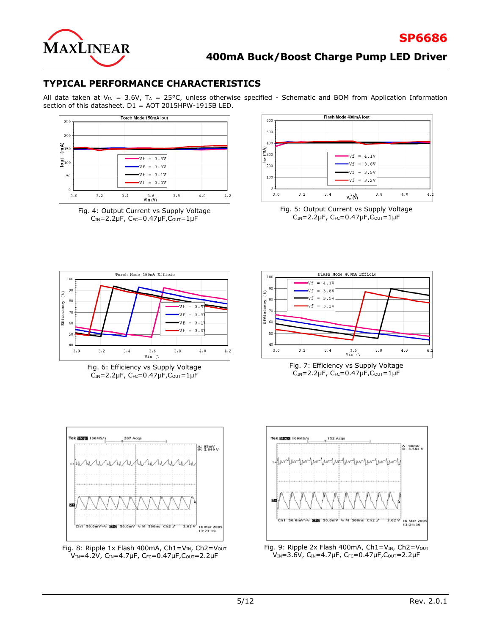

**SP6686**

## **TYPICAL PERFORMANCE CHARACTERISTICS**

All data taken at V<sub>IN</sub> = 3.6V, T<sub>A</sub> = 25°C, unless otherwise specified - Schematic and BOM from Application Information section of this datasheet. D1 = AOT 2015HPW-1915B LED.



Fig. 4: Output Current vs Supply Voltage  $C_{IN} = 2.2 \mu F$ ,  $C_{FC} = 0.47 \mu F$ ,  $C_{OUT} = 1 \mu F$ 



Fig. 5: Output Current vs Supply Voltage  $C<sub>IN</sub>=2.2\mu F$ ,  $C<sub>FC</sub>=0.47\mu F$ ,  $C<sub>OUT</sub>=1\mu F$ 



Fig. 6: Efficiency vs Supply Voltage  $C_{IN}$ =2.2µF,  $C_{FC}$ =0.47µF, $C_{OUT}$ =1µF



Fig. 7: Efficiency vs Supply Voltage  $C_{IN}$ =2.2µF,  $C_{FC}$ =0.47µF, $C_{OUT}$ =1µF







Fig. 9: Ripple 2x Flash 400mA,  $Ch1=V_{IN}$ ,  $Ch2=V_{OUT}$  $V_{IN} = 3.6V$ , C<sub>IN</sub>=4.7µF, C<sub>FC</sub>=0.47µF, C<sub>OUT</sub>=2.2µF

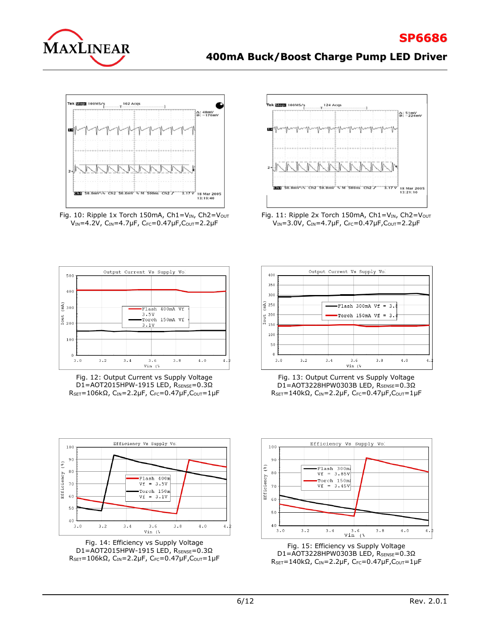

# **SP6686**

# **400mA Buck/Boost Charge Pump LED Driver**







Fig. 12: Output Current vs Supply Voltage D1=AOT2015HPW-1915 LED, RSENSE=0.3Ω RSET=106kΩ, CIN=2.2μF, CFC=0.47μF, Cout=1μF



Fig. 11: Ripple 2x Torch 150mA,  $Ch1=V_{IN}$ ,  $Ch2=V_{OUT}$  $V_{IN} = 3.0V$ ,  $C_{IN} = 4.7 \mu F$ ,  $C_{FC} = 0.47 \mu F$ ,  $C_{OUT} = 2.2 \mu F$ 



Fig. 13: Output Current vs Supply Voltage D1=AOT3228HPW0303B LED, RSENSE=0.3Ω RSET=140kΩ, CIN=2.2μF, CFC=0.47μF, Cout=1μF



Fig. 14: Efficiency vs Supply Voltage D1=AOT2015HPW-1915 LED, RSENSE=0.3Ω RSET=106kΩ, CIN=2.2μF, CFC=0.47μF, COUT=1μF



Fig. 15: Efficiency vs Supply Voltage D1=AOT3228HPW0303B LED, RSENSE=0.3Ω RSET=140kΩ, CIN=2.2μF, CFC=0.47μF, Cout=1μF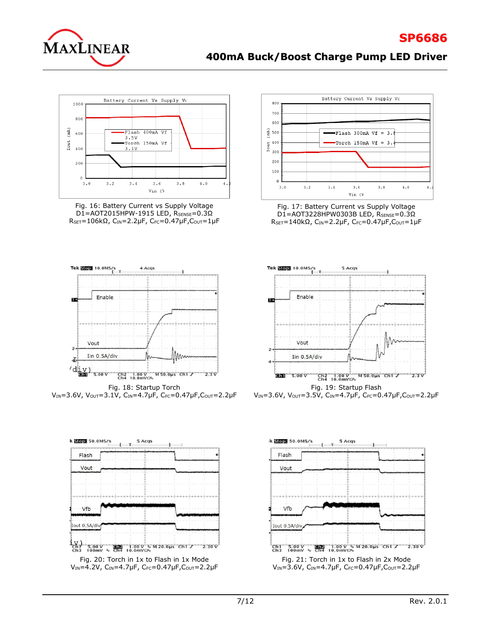

# **400mA Buck/Boost Charge Pump LED Driver**



Fig. 16: Battery Current vs Supply Voltage D1=AOT2015HPW-1915 LED, RSENSE=0.3Ω  $R_{SET}=106kΩ$ , C<sub>IN</sub>=2.2μF, C<sub>FC</sub>=0.47μF, C<sub>OUT</sub>=1μF



 $V_{IN}$ =3.6V, Vout=3.1V, C<sub>IN</sub>=4.7µF, C<sub>FC</sub>=0.47µF, Cout=2.2µF







Fig. 17: Battery Current vs Supply Voltage D1=AOT3228HPW0303B LED, RSENSE=0.3Ω RSET=140kΩ, CIN=2.2μF, CFC=0.47μF, Cout=1μF



V<sub>IN</sub>=3.6V, V<sub>OUT</sub>=3.5V, C<sub>IN</sub>=4.7µF, C<sub>FC</sub>=0.47µF, C<sub>OUT</sub>=2.2µF

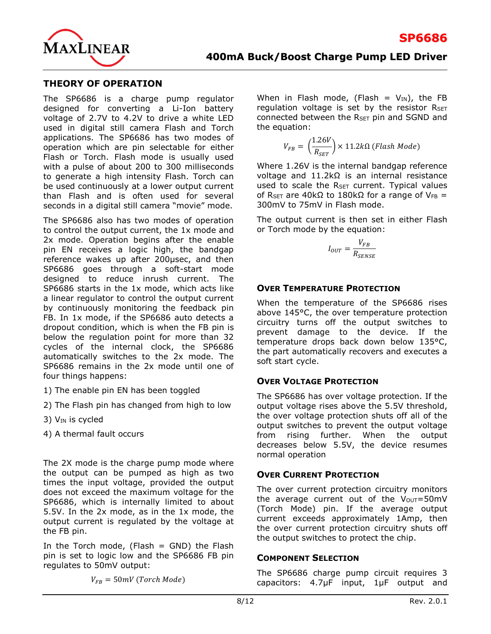

### **THEORY OF OPERATION**

The SP6686 is a charge pump regulator designed for converting a Li-Ion battery voltage of 2.7V to 4.2V to drive a white LED used in digital still camera Flash and Torch applications. The SP6686 has two modes of operation which are pin selectable for either Flash or Torch. Flash mode is usually used with a pulse of about 200 to 300 milliseconds to generate a high intensity Flash. Torch can be used continuously at a lower output current than Flash and is often used for several seconds in a digital still camera "movie" mode.

The SP6686 also has two modes of operation to control the output current, the 1x mode and 2x mode. Operation begins after the enable pin EN receives a logic high, the bandgap reference wakes up after 200μsec, and then SP6686 goes through a soft-start mode designed to reduce inrush current. The SP6686 starts in the 1x mode, which acts like a linear regulator to control the output current by continuously monitoring the feedback pin FB. In 1x mode, if the SP6686 auto detects a dropout condition, which is when the FB pin is below the regulation point for more than 32 cycles of the internal clock, the SP6686 automatically switches to the 2x mode. The SP6686 remains in the 2x mode until one of four things happens:

- 1) The enable pin EN has been toggled
- 2) The Flash pin has changed from high to low
- 3)  $V_{IN}$  is cycled
- 4) A thermal fault occurs

The 2X mode is the charge pump mode where the output can be pumped as high as two times the input voltage, provided the output does not exceed the maximum voltage for the SP6686, which is internally limited to about 5.5V. In the 2x mode, as in the 1x mode, the output current is regulated by the voltage at the FB pin.

In the Torch mode, (Flash = GND) the Flash pin is set to logic low and the SP6686 FB pin regulates to 50mV output:

 $V_{FB} = 50 mV$  (Torch Mode)

When in Flash mode, (Flash =  $V_{IN}$ ), the FB regulation voltage is set by the resistor  $R_{\text{SET}}$ connected between the  $R_{\text{SET}}$  pin and SGND and the equation:

$$
V_{FB} = \left(\frac{1.26V}{R_{SET}}\right) \times 11.2k\Omega \ (Flash Mode)
$$

Where 1.26V is the internal bandgap reference voltage and 11.2kΩ is an internal resistance used to scale the R<sub>SET</sub> current. Typical values of R<sub>SET</sub> are 40kΩ to 180kΩ for a range of VFB = 300mV to 75mV in Flash mode.

The output current is then set in either Flash or Torch mode by the equation:

$$
I_{OUT} = \frac{V_{FB}}{R_{SE NSE}}
$$

### **OVER TEMPERATURE PROTECTION**

When the temperature of the SP6686 rises above 145°C, the over temperature protection circuitry turns off the output switches to prevent damage to the device. If the temperature drops back down below 135°C, the part automatically recovers and executes a soft start cycle.

### **OVER VOLTAGE PROTECTION**

The SP6686 has over voltage protection. If the output voltage rises above the 5.5V threshold, the over voltage protection shuts off all of the output switches to prevent the output voltage from rising further. When the output decreases below 5.5V, the device resumes normal operation

### **OVER CURRENT PROTECTION**

The over current protection circuitry monitors the average current out of the  $V_{OUT}=50mV$ (Torch Mode) pin. If the average output current exceeds approximately 1Amp, then the over current protection circuitry shuts off the output switches to protect the chip.

### **COMPONENT SELECTION**

The SP6686 charge pump circuit requires 3 capacitors: 4.7μF input, 1μF output and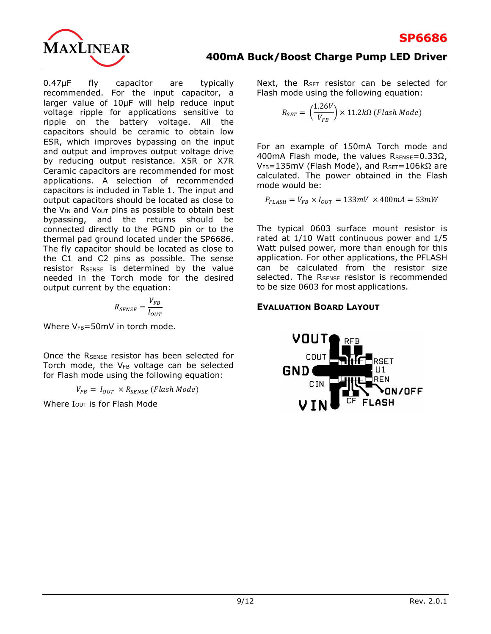

0.47μF fly capacitor are typically recommended. For the input capacitor, a larger value of 10μF will help reduce input voltage ripple for applications sensitive to ripple on the battery voltage. All the capacitors should be ceramic to obtain low ESR, which improves bypassing on the input and output and improves output voltage drive by reducing output resistance. X5R or X7R Ceramic capacitors are recommended for most applications. A selection of recommended capacitors is included in Table 1. The input and output capacitors should be located as close to the  $V_{IN}$  and  $V_{OUT}$  pins as possible to obtain best bypassing, and the returns should be connected directly to the PGND pin or to the thermal pad ground located under the SP6686. The fly capacitor should be located as close to the C1 and C2 pins as possible. The sense resistor RSENSE is determined by the value needed in the Torch mode for the desired output current by the equation:

$$
R_{SE NSE} = \frac{V_{FB}}{I_{OUT}}
$$

Where  $V_{FB}$ =50mV in torch mode.

Once the R<sub>SENSE</sub> resistor has been selected for Torch mode, the V<sub>FB</sub> voltage can be selected for Flash mode using the following equation:

 $V_{FB} = I_{OUT} \times R_{SENSE}$  (Flash Mode)

Where  $I<sub>OUT</sub>$  is for Flash Mode

Next, the R<sub>SET</sub> resistor can be selected for Flash mode using the following equation:

$$
R_{SET} = \left(\frac{1.26V}{V_{FB}}\right) \times 11.2k\Omega \ (Flash Mode)
$$

For an example of 150mA Torch mode and 400mA Flash mode, the values  $R_{\text{SENSE}} = 0.33 \Omega$ , VFB=135mV (Flash Mode), and RSET=106kΩ are calculated. The power obtained in the Flash mode would be:

$$
P_{FLASH} = V_{FB} \times I_{OUT} = 133mV \times 400mA = 53mW
$$

The typical 0603 surface mount resistor is rated at 1/10 Watt continuous power and 1/5 Watt pulsed power, more than enough for this application. For other applications, the PFLASH can be calculated from the resistor size selected. The R<sub>SENSE</sub> resistor is recommended to be size 0603 for most applications.

# **EVALUATION BOARD LAYOUT**

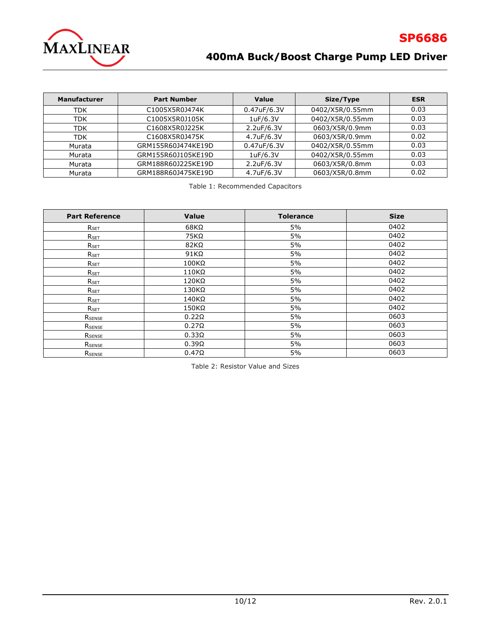

# **400mA Buck/Boost Charge Pump LED Driver**

| <b>Manufacturer</b> | <b>Part Number</b>                               | Value<br>Size/Type             |                 | <b>ESR</b> |
|---------------------|--------------------------------------------------|--------------------------------|-----------------|------------|
| <b>TDK</b>          | 0402/X5R/0.55mm<br>0.47uF/6.3V<br>C1005X5R0J474K |                                | 0.03            |            |
| <b>TDK</b>          | C1005X5R0J105K                                   | 1uF/6.3V                       | 0402/X5R/0.55mm | 0.03       |
| <b>TDK</b>          | C1608X5R0J225K                                   | 0603/X5R/0.9mm<br>2.2uF/6.3V   |                 | 0.03       |
| <b>TDK</b>          | C1608X5R0J475K                                   | 0603/X5R/0.9mm<br>4.7uF/6.3V   |                 | 0.02       |
| Murata              | GRM155R60J474KE19D                               | 0402/X5R/0.55mm<br>0.47uF/6.3V |                 | 0.03       |
| Murata              | GRM155R60J105KE19D                               | 0402/X5R/0.55mm<br>1uF/6.3V    |                 | 0.03       |
| Murata              | GRM188R60J225KE19D                               | 0603/X5R/0.8mm<br>2.2uF/6.3V   |                 | 0.03       |
| Murata              | GRM188R60J475KE19D                               | 4.7uF/6.3V<br>0603/X5R/0.8mm   |                 | 0.02       |

Table 1: Recommended Capacitors

| <b>Part Reference</b> | <b>Value</b> | <b>Tolerance</b> | <b>Size</b> |
|-----------------------|--------------|------------------|-------------|
| R <sub>SET</sub>      | $68K\Omega$  | 5%               | 0402        |
| RSET                  | $75K\Omega$  | 5%               | 0402        |
| RSET                  | 82KΩ         | 5%               | 0402        |
| RSET                  | $91K\Omega$  | 5%               | 0402        |
| RSET                  | 100KΩ        | 5%               | 0402        |
| RSET                  | $110K\Omega$ | 5%               | 0402        |
| RSET                  | 120KΩ        | 5%               | 0402        |
| $R_{\sf SET}$         | 130KΩ        | 5%               | 0402        |
| $R_{SET}$             | 140KΩ        | 5%               | 0402        |
| RSET                  | $150K\Omega$ | 5%               | 0402        |
| RSENSE                | $0.22\Omega$ | 5%               | 0603        |
| RSENSE                | $0.27\Omega$ | 5%               | 0603        |
| RSENSE                | $0.33\Omega$ | 5%               | 0603        |
| RSENSE                | $0.39\Omega$ | 5%               | 0603        |
| RSENSE                | $0.47\Omega$ | 5%               | 0603        |

Table 2: Resistor Value and Sizes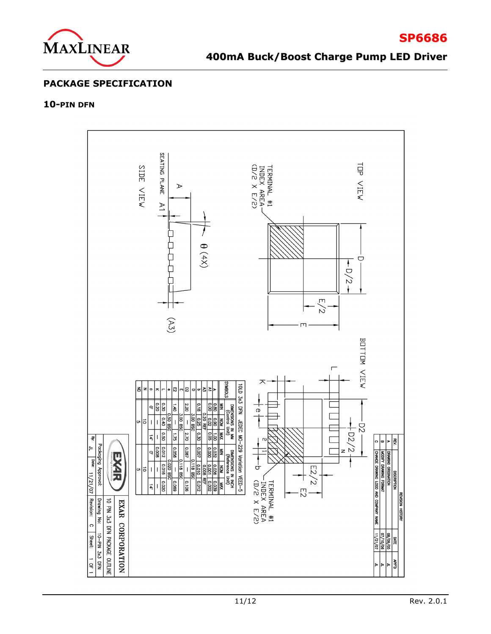

**SP6686**

### **PACKAGE SPECIFICATION**

#### **10-PIN DFN**